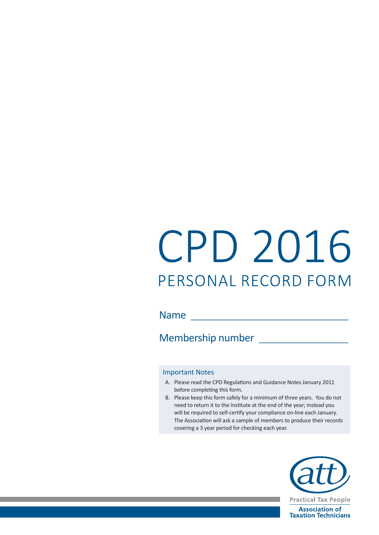# CPD 2016 PERSONAL RECORD FORM

Name and the contract of the contract of the contract of the contract of the contract of the contract of the contract of the contract of the contract of the contract of the contract of the contract of the contract of the c

Membership number

#### Important Notes

- A. Please read the CPD Regulations and Guidance Notes January 2011 before completing this form.
- B. Please keep this form safely for a minimum of three years. You do not need to return it to the Institute at the end of the year; instead you will be required to self-certify your compliance on-line each January. The Association will ask a sample of members to produce their records covering a 3 year period for checking each year.

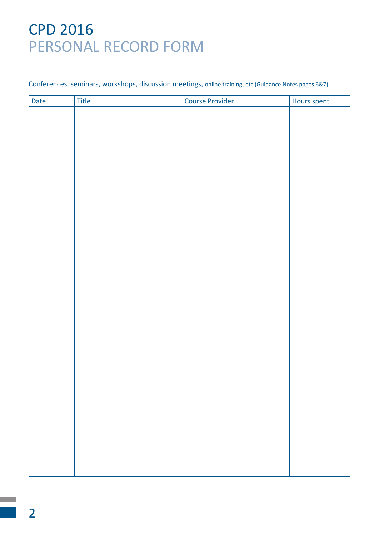#### Conferences, seminars, workshops, discussion meetings, online training, etc (Guidance Notes pages 6&7)

| Date | Title | Course Provider | Hours spent |
|------|-------|-----------------|-------------|
|      |       |                 |             |
|      |       |                 |             |
|      |       |                 |             |
|      |       |                 |             |
|      |       |                 |             |
|      |       |                 |             |
|      |       |                 |             |
|      |       |                 |             |
|      |       |                 |             |
|      |       |                 |             |
|      |       |                 |             |
|      |       |                 |             |
|      |       |                 |             |
|      |       |                 |             |
|      |       |                 |             |
|      |       |                 |             |
|      |       |                 |             |
|      |       |                 |             |
|      |       |                 |             |
|      |       |                 |             |
|      |       |                 |             |
|      |       |                 |             |
|      |       |                 |             |
|      |       |                 |             |
|      |       |                 |             |
|      |       |                 |             |
|      |       |                 |             |
|      |       |                 |             |
|      |       |                 |             |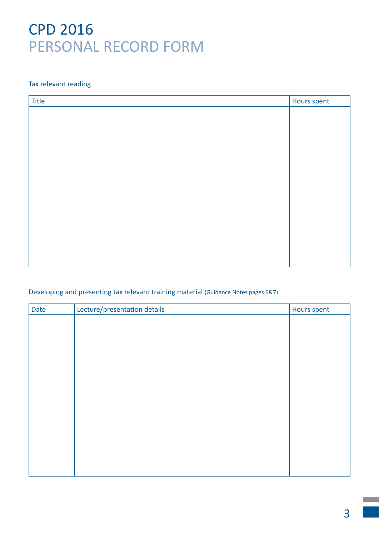### Tax relevant reading

| Title | Hours spent |
|-------|-------------|
|       |             |
|       |             |
|       |             |
|       |             |
|       |             |
|       |             |
|       |             |
|       |             |
|       |             |
|       |             |
|       |             |
|       |             |
|       |             |
|       |             |

### Developing and presenting tax relevant training material (Guidance Notes pages 6&7)

| <b>Date</b> | Lecture/presentation details | Hours spent |
|-------------|------------------------------|-------------|
|             |                              |             |
|             |                              |             |
|             |                              |             |
|             |                              |             |
|             |                              |             |
|             |                              |             |
|             |                              |             |
|             |                              |             |
|             |                              |             |
|             |                              |             |
|             |                              |             |
|             |                              |             |
|             |                              |             |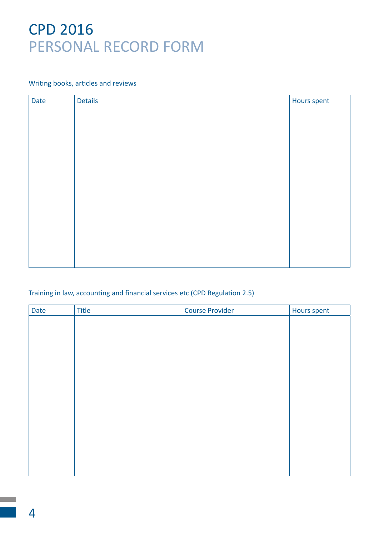#### Writing books, articles and reviews

| Date | <b>Details</b> | Hours spent |
|------|----------------|-------------|
|      |                |             |
|      |                |             |
|      |                |             |
|      |                |             |
|      |                |             |
|      |                |             |
|      |                |             |
|      |                |             |
|      |                |             |
|      |                |             |
|      |                |             |
|      |                |             |
|      |                |             |
|      |                |             |

### Training in law, accounting and financial services etc (CPD Regulation 2.5)

| Date | Title | <b>Course Provider</b> | Hours spent |
|------|-------|------------------------|-------------|
|      |       |                        |             |
|      |       |                        |             |
|      |       |                        |             |
|      |       |                        |             |
|      |       |                        |             |
|      |       |                        |             |
|      |       |                        |             |
|      |       |                        |             |
|      |       |                        |             |
|      |       |                        |             |
|      |       |                        |             |
|      |       |                        |             |
|      |       |                        |             |
|      |       |                        |             |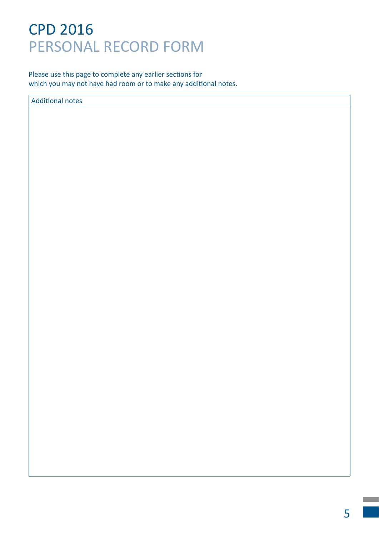Please use this page to complete any earlier sections for which you may not have had room or to make any additional notes.

Additional notes